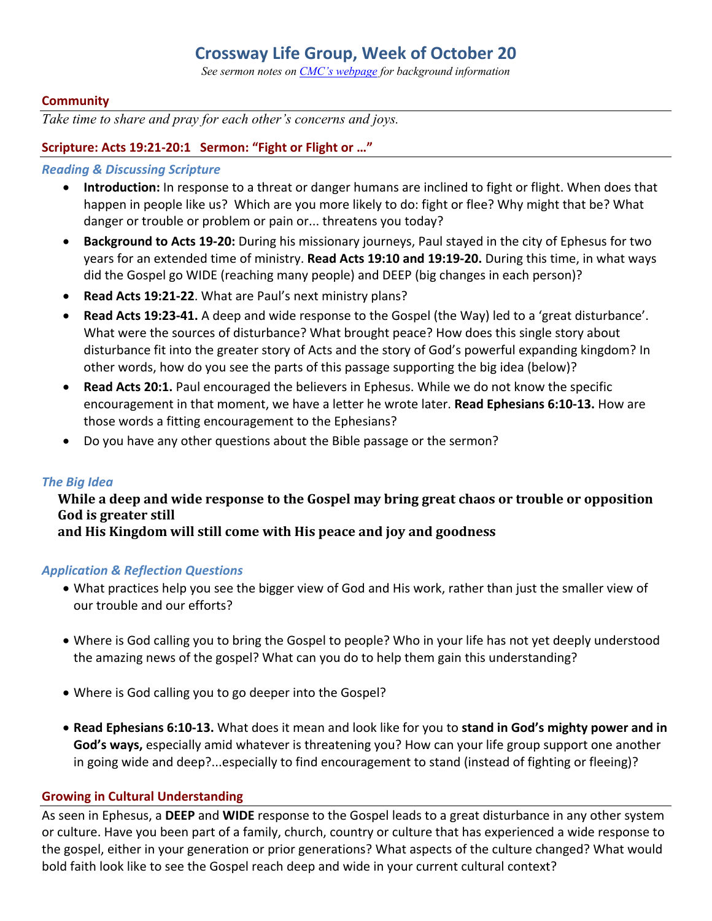# **Crossway Life Group, Week of October 20**

*See sermon notes on CMC's webpage for background information*

#### **Community**

*Take time to share and pray for each other's concerns and joys.*

#### **Scripture: Acts 19:21-20:1 Sermon: "Fight or Flight or …"**

#### *Reading & Discussing Scripture*

- **Introduction:** In response to a threat or danger humans are inclined to fight or flight. When does that happen in people like us? Which are you more likely to do: fight or flee? Why might that be? What danger or trouble or problem or pain or... threatens you today?
- **Background to Acts 19-20:** During his missionary journeys, Paul stayed in the city of Ephesus for two years for an extended time of ministry. **Read Acts 19:10 and 19:19-20.** During this time, in what ways did the Gospel go WIDE (reaching many people) and DEEP (big changes in each person)?
- **Read Acts 19:21-22**. What are Paul's next ministry plans?
- **Read Acts 19:23-41.** A deep and wide response to the Gospel (the Way) led to a 'great disturbance'. What were the sources of disturbance? What brought peace? How does this single story about disturbance fit into the greater story of Acts and the story of God's powerful expanding kingdom? In other words, how do you see the parts of this passage supporting the big idea (below)?
- **Read Acts 20:1.** Paul encouraged the believers in Ephesus. While we do not know the specific encouragement in that moment, we have a letter he wrote later. **Read Ephesians 6:10-13.** How are those words a fitting encouragement to the Ephesians?
- Do you have any other questions about the Bible passage or the sermon?

#### *The Big Idea*

# While a deep and wide response to the Gospel may bring great chaos or trouble or opposition God is greater still

and His Kingdom will still come with His peace and joy and goodness

#### *Application & Reflection Questions*

- What practices help you see the bigger view of God and His work, rather than just the smaller view of our trouble and our efforts?
- Where is God calling you to bring the Gospel to people? Who in your life has not yet deeply understood the amazing news of the gospel? What can you do to help them gain this understanding?
- Where is God calling you to go deeper into the Gospel?
- **Read Ephesians 6:10-13.** What does it mean and look like for you to **stand in God's mighty power and in God's ways,** especially amid whatever is threatening you? How can your life group support one another in going wide and deep?...especially to find encouragement to stand (instead of fighting or fleeing)?

#### **Growing in Cultural Understanding**

As seen in Ephesus, a **DEEP** and **WIDE** response to the Gospel leads to a great disturbance in any other system or culture. Have you been part of a family, church, country or culture that has experienced a wide response to the gospel, either in your generation or prior generations? What aspects of the culture changed? What would bold faith look like to see the Gospel reach deep and wide in your current cultural context?